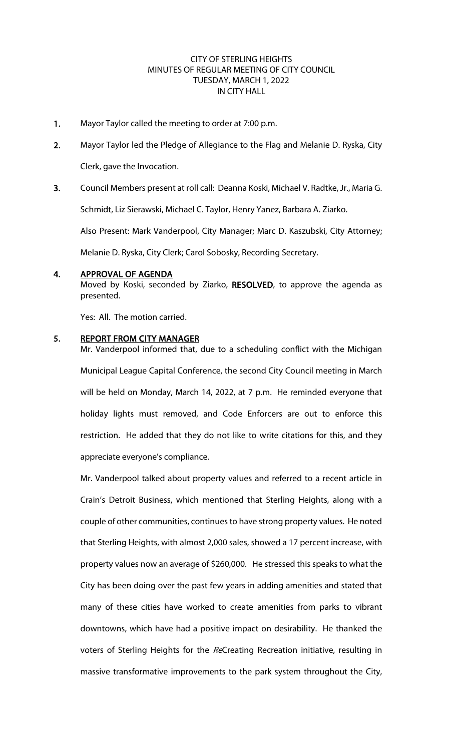## CITY OF STERLING HEIGHTS MINUTES OF REGULAR MEETING OF CITY COUNCIL TUESDAY, MARCH 1, 2022 IN CITY HALL

- 1. Mayor Taylor called the meeting to order at 7:00 p.m.
- 2. Mayor Taylor led the Pledge of Allegiance to the Flag and Melanie D. Ryska, City Clerk, gave the Invocation.
- 3. Council Members present at roll call: Deanna Koski, Michael V. Radtke, Jr., Maria G.

Schmidt, Liz Sierawski, Michael C. Taylor, Henry Yanez, Barbara A. Ziarko.

Also Present: Mark Vanderpool, City Manager; Marc D. Kaszubski, City Attorney;

Melanie D. Ryska, City Clerk; Carol Sobosky, Recording Secretary.

#### 4. APPROVAL OF AGENDA

Moved by Koski, seconded by Ziarko, RESOLVED, to approve the agenda as presented.

Yes: All. The motion carried.

#### 5. REPORT FROM CITY MANAGER

Mr. Vanderpool informed that, due to a scheduling conflict with the Michigan Municipal League Capital Conference, the second City Council meeting in March will be held on Monday, March 14, 2022, at 7 p.m. He reminded everyone that holiday lights must removed, and Code Enforcers are out to enforce this restriction. He added that they do not like to write citations for this, and they appreciate everyone's compliance.

Mr. Vanderpool talked about property values and referred to a recent article in Crain's Detroit Business, which mentioned that Sterling Heights, along with a couple of other communities, continues to have strong property values. He noted that Sterling Heights, with almost 2,000 sales, showed a 17 percent increase, with property values now an average of \$260,000. He stressed this speaks to what the City has been doing over the past few years in adding amenities and stated that many of these cities have worked to create amenities from parks to vibrant downtowns, which have had a positive impact on desirability. He thanked the voters of Sterling Heights for the ReCreating Recreation initiative, resulting in massive transformative improvements to the park system throughout the City,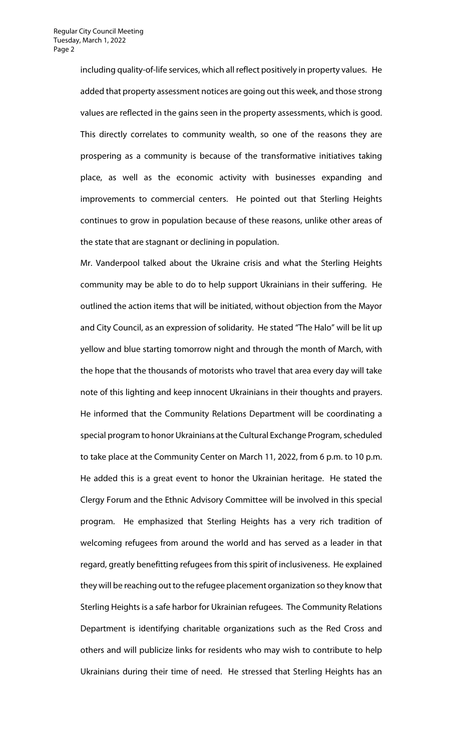including quality-of-life services, which all reflect positively in property values. He added that property assessment notices are going out this week, and those strong values are reflected in the gains seen in the property assessments, which is good. This directly correlates to community wealth, so one of the reasons they are prospering as a community is because of the transformative initiatives taking place, as well as the economic activity with businesses expanding and improvements to commercial centers. He pointed out that Sterling Heights continues to grow in population because of these reasons, unlike other areas of the state that are stagnant or declining in population.

Mr. Vanderpool talked about the Ukraine crisis and what the Sterling Heights community may be able to do to help support Ukrainians in their suffering. He outlined the action items that will be initiated, without objection from the Mayor and City Council, as an expression of solidarity. He stated "The Halo" will be lit up yellow and blue starting tomorrow night and through the month of March, with the hope that the thousands of motorists who travel that area every day will take note of this lighting and keep innocent Ukrainians in their thoughts and prayers. He informed that the Community Relations Department will be coordinating a special program to honor Ukrainians at the Cultural Exchange Program, scheduled to take place at the Community Center on March 11, 2022, from 6 p.m. to 10 p.m. He added this is a great event to honor the Ukrainian heritage. He stated the Clergy Forum and the Ethnic Advisory Committee will be involved in this special program. He emphasized that Sterling Heights has a very rich tradition of welcoming refugees from around the world and has served as a leader in that regard, greatly benefitting refugees from this spirit of inclusiveness. He explained they will be reaching out to the refugee placement organization so they know that Sterling Heights is a safe harbor for Ukrainian refugees. The Community Relations Department is identifying charitable organizations such as the Red Cross and others and will publicize links for residents who may wish to contribute to help Ukrainians during their time of need. He stressed that Sterling Heights has an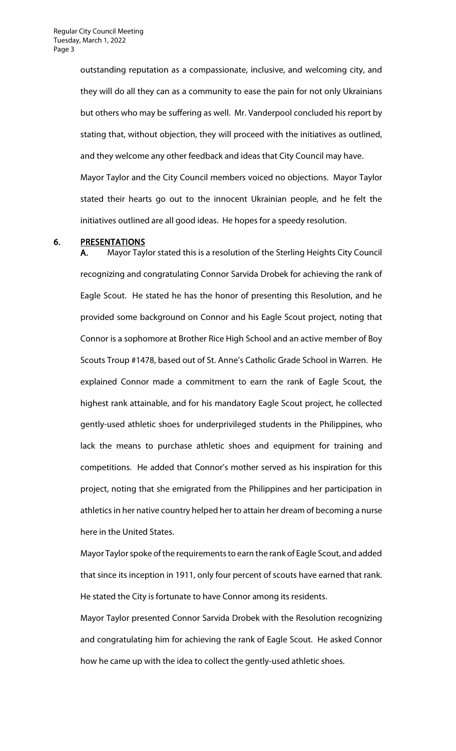outstanding reputation as a compassionate, inclusive, and welcoming city, and they will do all they can as a community to ease the pain for not only Ukrainians but others who may be suffering as well. Mr. Vanderpool concluded his report by stating that, without objection, they will proceed with the initiatives as outlined, and they welcome any other feedback and ideas that City Council may have. Mayor Taylor and the City Council members voiced no objections. Mayor Taylor stated their hearts go out to the innocent Ukrainian people, and he felt the initiatives outlined are all good ideas. He hopes for a speedy resolution.

#### 6. PRESENTATIONS

A. Mayor Taylor stated this is a resolution of the Sterling Heights City Council recognizing and congratulating Connor Sarvida Drobek for achieving the rank of Eagle Scout. He stated he has the honor of presenting this Resolution, and he provided some background on Connor and his Eagle Scout project, noting that Connor is a sophomore at Brother Rice High School and an active member of Boy Scouts Troup #1478, based out of St. Anne's Catholic Grade School in Warren. He explained Connor made a commitment to earn the rank of Eagle Scout, the highest rank attainable, and for his mandatory Eagle Scout project, he collected gently-used athletic shoes for underprivileged students in the Philippines, who lack the means to purchase athletic shoes and equipment for training and competitions. He added that Connor's mother served as his inspiration for this project, noting that she emigrated from the Philippines and her participation in athletics in her native country helped her to attain her dream of becoming a nurse here in the United States.

Mayor Taylor spoke of the requirements to earn the rank of Eagle Scout, and added that since its inception in 1911, only four percent of scouts have earned that rank. He stated the City is fortunate to have Connor among its residents.

Mayor Taylor presented Connor Sarvida Drobek with the Resolution recognizing and congratulating him for achieving the rank of Eagle Scout. He asked Connor how he came up with the idea to collect the gently-used athletic shoes.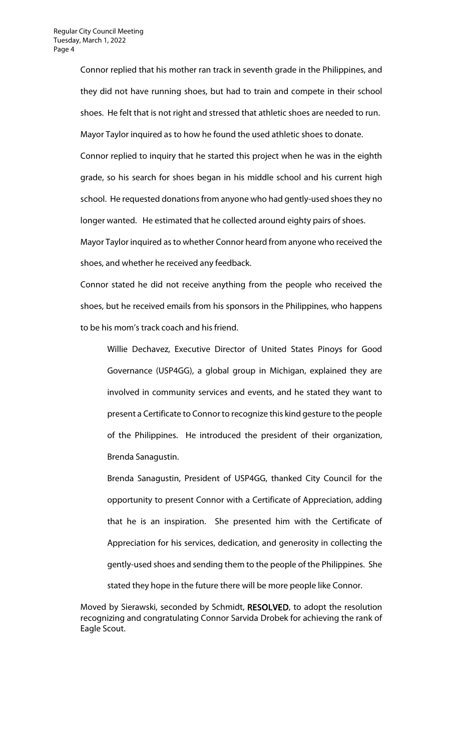Connor replied that his mother ran track in seventh grade in the Philippines, and they did not have running shoes, but had to train and compete in their school shoes. He felt that is not right and stressed that athletic shoes are needed to run. Mayor Taylor inquired as to how he found the used athletic shoes to donate. Connor replied to inquiry that he started this project when he was in the eighth grade, so his search for shoes began in his middle school and his current high school. He requested donations from anyone who had gently-used shoes they no longer wanted. He estimated that he collected around eighty pairs of shoes. Mayor Taylor inquired as to whether Connor heard from anyone who received the shoes, and whether he received any feedback.

Connor stated he did not receive anything from the people who received the shoes, but he received emails from his sponsors in the Philippines, who happens to be his mom's track coach and his friend.

Willie Dechavez, Executive Director of United States Pinoys for Good Governance (USP4GG), a global group in Michigan, explained they are involved in community services and events, and he stated they want to present a Certificate to Connor to recognize this kind gesture to the people of the Philippines. He introduced the president of their organization, Brenda Sanagustin.

Brenda Sanagustin, President of USP4GG, thanked City Council for the opportunity to present Connor with a Certificate of Appreciation, adding that he is an inspiration. She presented him with the Certificate of Appreciation for his services, dedication, and generosity in collecting the gently-used shoes and sending them to the people of the Philippines. She stated they hope in the future there will be more people like Connor.

Moved by Sierawski, seconded by Schmidt, RESOLVED, to adopt the resolution recognizing and congratulating Connor Sarvida Drobek for achieving the rank of Eagle Scout.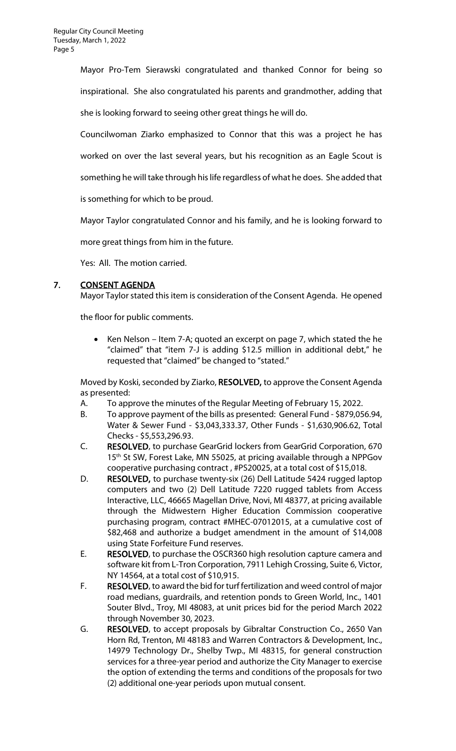Mayor Pro-Tem Sierawski congratulated and thanked Connor for being so inspirational. She also congratulated his parents and grandmother, adding that she is looking forward to seeing other great things he will do.

Councilwoman Ziarko emphasized to Connor that this was a project he has worked on over the last several years, but his recognition as an Eagle Scout is

something he will take through his life regardless of what he does. She added that

is something for which to be proud.

Mayor Taylor congratulated Connor and his family, and he is looking forward to

more great things from him in the future.

Yes: All. The motion carried.

## 7. CONSENT AGENDA

Mayor Taylor stated this item is consideration of the Consent Agenda. He opened

the floor for public comments.

• Ken Nelson – Item 7-A; quoted an excerpt on page 7, which stated the he "claimed" that "item 7-J is adding \$12.5 million in additional debt," he requested that "claimed" be changed to "stated."

Moved by Koski, seconded by Ziarko, RESOLVED, to approve the Consent Agenda as presented:

- A. To approve the minutes of the Regular Meeting of February 15, 2022.
- B. To approve payment of the bills as presented: General Fund \$879,056.94, Water & Sewer Fund - \$3,043,333.37, Other Funds - \$1,630,906.62, Total Checks - \$5,553,296.93.
- C. RESOLVED, to purchase GearGrid lockers from GearGrid Corporation, 670 15<sup>th</sup> St SW, Forest Lake, MN 55025, at pricing available through a NPPGov cooperative purchasing contract , #PS20025, at a total cost of \$15,018.
- D. RESOLVED, to purchase twenty-six (26) Dell Latitude 5424 rugged laptop computers and two (2) Dell Latitude 7220 rugged tablets from Access Interactive, LLC, 46665 Magellan Drive, Novi, MI 48377, at pricing available through the Midwestern Higher Education Commission cooperative purchasing program, contract #MHEC-07012015, at a cumulative cost of \$82,468 and authorize a budget amendment in the amount of \$14,008 using State Forfeiture Fund reserves.
- E. RESOLVED, to purchase the OSCR360 high resolution capture camera and software kit from L-Tron Corporation, 7911 Lehigh Crossing, Suite 6, Victor, NY 14564, at a total cost of \$10,915.
- F. RESOLVED, to award the bid for turf fertilization and weed control of major road medians, guardrails, and retention ponds to Green World, Inc., 1401 Souter Blvd., Troy, MI 48083, at unit prices bid for the period March 2022 through November 30, 2023.
- G. RESOLVED, to accept proposals by Gibraltar Construction Co., 2650 Van Horn Rd, Trenton, MI 48183 and Warren Contractors & Development, Inc., 14979 Technology Dr., Shelby Twp., MI 48315, for general construction services for a three-year period and authorize the City Manager to exercise the option of extending the terms and conditions of the proposals for two (2) additional one-year periods upon mutual consent.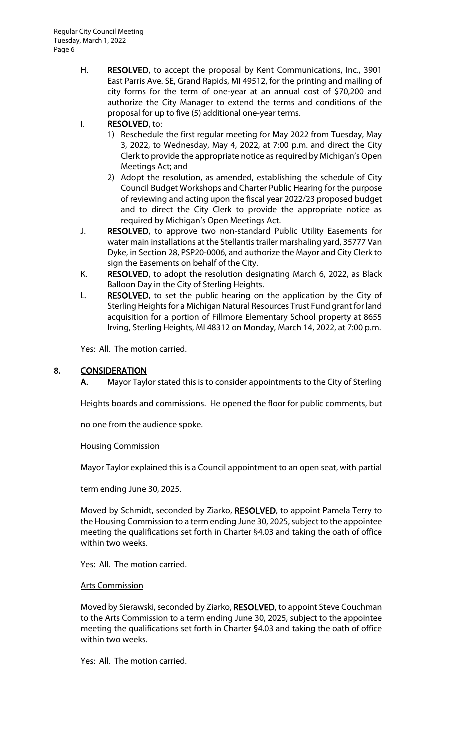H. RESOLVED, to accept the proposal by Kent Communications, Inc., 3901 East Parris Ave. SE, Grand Rapids, MI 49512, for the printing and mailing of city forms for the term of one-year at an annual cost of \$70,200 and authorize the City Manager to extend the terms and conditions of the proposal for up to five (5) additional one-year terms.

# I. RESOLVED, to:

- 1) Reschedule the first regular meeting for May 2022 from Tuesday, May 3, 2022, to Wednesday, May 4, 2022, at 7:00 p.m. and direct the City Clerk to provide the appropriate notice as required by Michigan's Open Meetings Act; and
- 2) Adopt the resolution, as amended, establishing the schedule of City Council Budget Workshops and Charter Public Hearing for the purpose of reviewing and acting upon the fiscal year 2022/23 proposed budget and to direct the City Clerk to provide the appropriate notice as required by Michigan's Open Meetings Act.
- J. RESOLVED, to approve two non-standard Public Utility Easements for water main installations at the Stellantis trailer marshaling yard, 35777 Van Dyke, in Section 28, PSP20-0006, and authorize the Mayor and City Clerk to sign the Easements on behalf of the City.
- K. RESOLVED, to adopt the resolution designating March 6, 2022, as Black Balloon Day in the City of Sterling Heights.
- L. RESOLVED, to set the public hearing on the application by the City of Sterling Heights for a Michigan Natural Resources Trust Fund grant for land acquisition for a portion of Fillmore Elementary School property at 8655 Irving, Sterling Heights, MI 48312 on Monday, March 14, 2022, at 7:00 p.m.

Yes: All. The motion carried.

## 8. CONSIDERATION

A. Mayor Taylor stated this is to consider appointments to the City of Sterling

Heights boards and commissions. He opened the floor for public comments, but

no one from the audience spoke.

#### Housing Commission

Mayor Taylor explained this is a Council appointment to an open seat, with partial

term ending June 30, 2025.

Moved by Schmidt, seconded by Ziarko, RESOLVED, to appoint Pamela Terry to the Housing Commission to a term ending June 30, 2025, subject to the appointee meeting the qualifications set forth in Charter §4.03 and taking the oath of office within two weeks.

Yes: All. The motion carried.

#### Arts Commission

Moved by Sierawski, seconded by Ziarko, RESOLVED, to appoint Steve Couchman to the Arts Commission to a term ending June 30, 2025, subject to the appointee meeting the qualifications set forth in Charter §4.03 and taking the oath of office within two weeks.

Yes: All. The motion carried.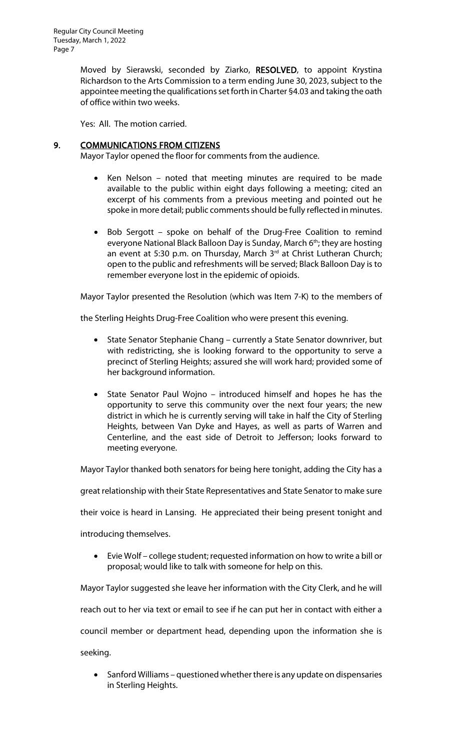Moved by Sierawski, seconded by Ziarko, RESOLVED, to appoint Krystina Richardson to the Arts Commission to a term ending June 30, 2023, subject to the appointee meeting the qualifications set forth in Charter §4.03 and taking the oath of office within two weeks.

Yes: All. The motion carried.

# 9. COMMUNICATIONS FROM CITIZENS

Mayor Taylor opened the floor for comments from the audience.

- Ken Nelson noted that meeting minutes are required to be made available to the public within eight days following a meeting; cited an excerpt of his comments from a previous meeting and pointed out he spoke in more detail; public comments should be fully reflected in minutes.
- Bob Sergott spoke on behalf of the Drug-Free Coalition to remind everyone National Black Balloon Day is Sunday, March 6<sup>th</sup>; they are hosting an event at 5:30 p.m. on Thursday, March 3rd at Christ Lutheran Church; open to the public and refreshments will be served; Black Balloon Day is to remember everyone lost in the epidemic of opioids.

Mayor Taylor presented the Resolution (which was Item 7-K) to the members of

the Sterling Heights Drug-Free Coalition who were present this evening.

- State Senator Stephanie Chang currently a State Senator downriver, but with redistricting, she is looking forward to the opportunity to serve a precinct of Sterling Heights; assured she will work hard; provided some of her background information.
- State Senator Paul Wojno introduced himself and hopes he has the opportunity to serve this community over the next four years; the new district in which he is currently serving will take in half the City of Sterling Heights, between Van Dyke and Hayes, as well as parts of Warren and Centerline, and the east side of Detroit to Jefferson; looks forward to meeting everyone.

Mayor Taylor thanked both senators for being here tonight, adding the City has a

great relationship with their State Representatives and State Senator to make sure

their voice is heard in Lansing. He appreciated their being present tonight and

introducing themselves.

• Evie Wolf – college student; requested information on how to write a bill or proposal; would like to talk with someone for help on this.

Mayor Taylor suggested she leave her information with the City Clerk, and he will

reach out to her via text or email to see if he can put her in contact with either a

council member or department head, depending upon the information she is

seeking.

• Sanford Williams – questioned whether there is any update on dispensaries in Sterling Heights.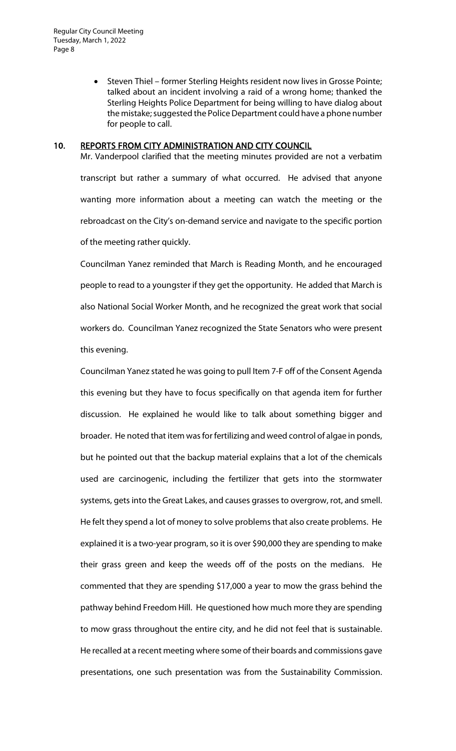• Steven Thiel – former Sterling Heights resident now lives in Grosse Pointe; talked about an incident involving a raid of a wrong home; thanked the Sterling Heights Police Department for being willing to have dialog about the mistake; suggested the Police Department could have a phone number for people to call.

#### 10. REPORTS FROM CITY ADMINISTRATION AND CITY COUNCIL

Mr. Vanderpool clarified that the meeting minutes provided are not a verbatim transcript but rather a summary of what occurred. He advised that anyone wanting more information about a meeting can watch the meeting or the rebroadcast on the City's on-demand service and navigate to the specific portion of the meeting rather quickly.

Councilman Yanez reminded that March is Reading Month, and he encouraged people to read to a youngster if they get the opportunity. He added that March is also National Social Worker Month, and he recognized the great work that social workers do. Councilman Yanez recognized the State Senators who were present this evening.

Councilman Yanez stated he was going to pull Item 7-F off of the Consent Agenda this evening but they have to focus specifically on that agenda item for further discussion. He explained he would like to talk about something bigger and broader. He noted that item was for fertilizing and weed control of algae in ponds, but he pointed out that the backup material explains that a lot of the chemicals used are carcinogenic, including the fertilizer that gets into the stormwater systems, gets into the Great Lakes, and causes grasses to overgrow, rot, and smell. He felt they spend a lot of money to solve problems that also create problems. He explained it is a two-year program, so it is over \$90,000 they are spending to make their grass green and keep the weeds off of the posts on the medians. He commented that they are spending \$17,000 a year to mow the grass behind the pathway behind Freedom Hill. He questioned how much more they are spending to mow grass throughout the entire city, and he did not feel that is sustainable. He recalled at a recent meeting where some of their boards and commissions gave presentations, one such presentation was from the Sustainability Commission.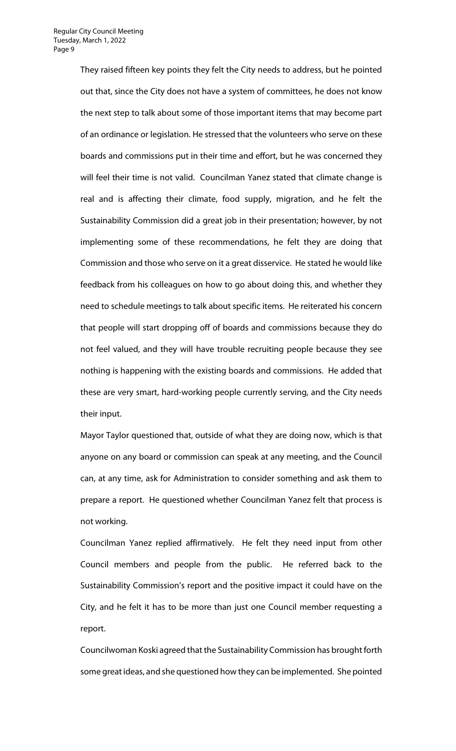They raised fifteen key points they felt the City needs to address, but he pointed out that, since the City does not have a system of committees, he does not know the next step to talk about some of those important items that may become part of an ordinance or legislation. He stressed that the volunteers who serve on these boards and commissions put in their time and effort, but he was concerned they will feel their time is not valid. Councilman Yanez stated that climate change is real and is affecting their climate, food supply, migration, and he felt the Sustainability Commission did a great job in their presentation; however, by not implementing some of these recommendations, he felt they are doing that Commission and those who serve on it a great disservice. He stated he would like feedback from his colleagues on how to go about doing this, and whether they need to schedule meetings to talk about specific items. He reiterated his concern that people will start dropping off of boards and commissions because they do not feel valued, and they will have trouble recruiting people because they see nothing is happening with the existing boards and commissions. He added that these are very smart, hard-working people currently serving, and the City needs their input.

Mayor Taylor questioned that, outside of what they are doing now, which is that anyone on any board or commission can speak at any meeting, and the Council can, at any time, ask for Administration to consider something and ask them to prepare a report. He questioned whether Councilman Yanez felt that process is not working.

Councilman Yanez replied affirmatively. He felt they need input from other Council members and people from the public. He referred back to the Sustainability Commission's report and the positive impact it could have on the City, and he felt it has to be more than just one Council member requesting a report.

Councilwoman Koski agreed that the Sustainability Commission has brought forth some great ideas, and she questioned how they can be implemented. She pointed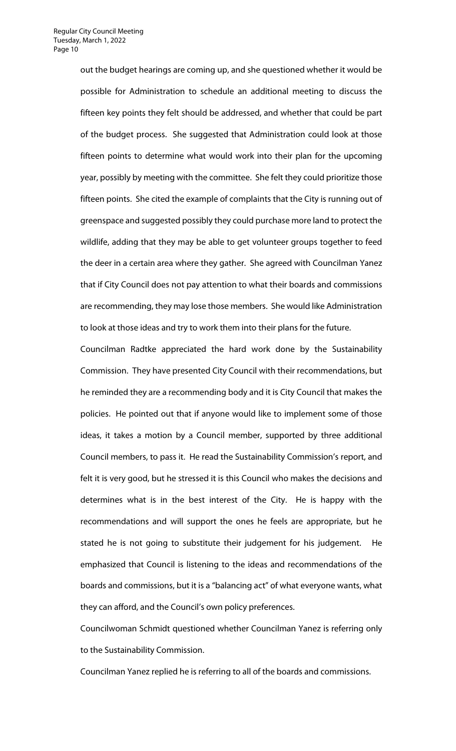out the budget hearings are coming up, and she questioned whether it would be possible for Administration to schedule an additional meeting to discuss the fifteen key points they felt should be addressed, and whether that could be part of the budget process. She suggested that Administration could look at those fifteen points to determine what would work into their plan for the upcoming year, possibly by meeting with the committee. She felt they could prioritize those fifteen points. She cited the example of complaints that the City is running out of greenspace and suggested possibly they could purchase more land to protect the wildlife, adding that they may be able to get volunteer groups together to feed the deer in a certain area where they gather. She agreed with Councilman Yanez that if City Council does not pay attention to what their boards and commissions are recommending, they may lose those members. She would like Administration to look at those ideas and try to work them into their plans for the future.

Councilman Radtke appreciated the hard work done by the Sustainability Commission. They have presented City Council with their recommendations, but he reminded they are a recommending body and it is City Council that makes the policies. He pointed out that if anyone would like to implement some of those ideas, it takes a motion by a Council member, supported by three additional Council members, to pass it. He read the Sustainability Commission's report, and felt it is very good, but he stressed it is this Council who makes the decisions and determines what is in the best interest of the City. He is happy with the recommendations and will support the ones he feels are appropriate, but he stated he is not going to substitute their judgement for his judgement. He emphasized that Council is listening to the ideas and recommendations of the boards and commissions, but it is a "balancing act" of what everyone wants, what they can afford, and the Council's own policy preferences.

Councilwoman Schmidt questioned whether Councilman Yanez is referring only to the Sustainability Commission.

Councilman Yanez replied he is referring to all of the boards and commissions.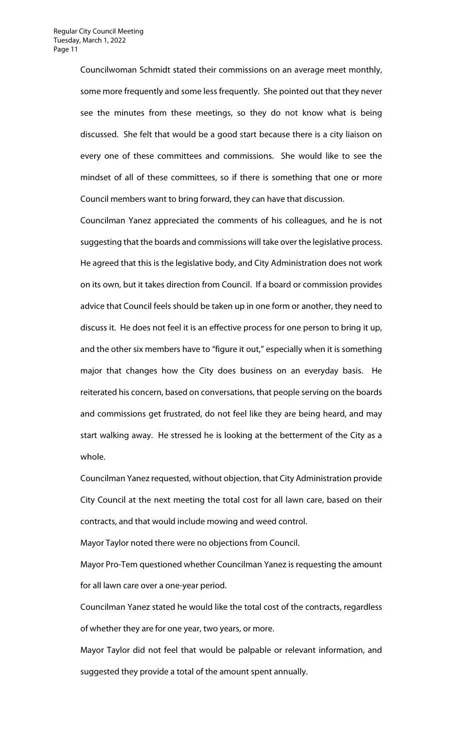Councilwoman Schmidt stated their commissions on an average meet monthly, some more frequently and some less frequently. She pointed out that they never see the minutes from these meetings, so they do not know what is being discussed. She felt that would be a good start because there is a city liaison on every one of these committees and commissions. She would like to see the mindset of all of these committees, so if there is something that one or more Council members want to bring forward, they can have that discussion.

Councilman Yanez appreciated the comments of his colleagues, and he is not suggesting that the boards and commissions will take over the legislative process. He agreed that this is the legislative body, and City Administration does not work on its own, but it takes direction from Council. If a board or commission provides advice that Council feels should be taken up in one form or another, they need to discuss it. He does not feel it is an effective process for one person to bring it up, and the other six members have to "figure it out," especially when it is something major that changes how the City does business on an everyday basis. He reiterated his concern, based on conversations, that people serving on the boards and commissions get frustrated, do not feel like they are being heard, and may start walking away. He stressed he is looking at the betterment of the City as a whole.

Councilman Yanez requested, without objection, that City Administration provide City Council at the next meeting the total cost for all lawn care, based on their contracts, and that would include mowing and weed control.

Mayor Taylor noted there were no objections from Council.

Mayor Pro-Tem questioned whether Councilman Yanez is requesting the amount for all lawn care over a one-year period.

Councilman Yanez stated he would like the total cost of the contracts, regardless of whether they are for one year, two years, or more.

Mayor Taylor did not feel that would be palpable or relevant information, and suggested they provide a total of the amount spent annually.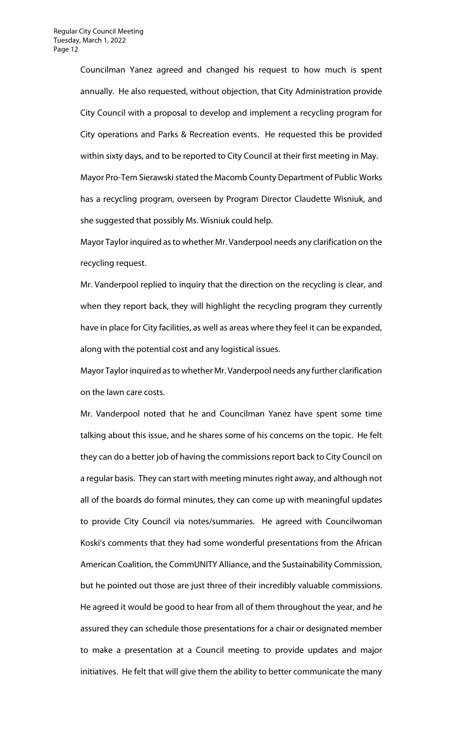Councilman Yanez agreed and changed his request to how much is spent annually. He also requested, without objection, that City Administration provide City Council with a proposal to develop and implement a recycling program for City operations and Parks & Recreation events. He requested this be provided within sixty days, and to be reported to City Council at their first meeting in May. Mayor Pro-Tem Sierawski stated the Macomb County Department of Public Works has a recycling program, overseen by Program Director Claudette Wisniuk, and she suggested that possibly Ms. Wisniuk could help.

Mayor Taylor inquired as to whether Mr. Vanderpool needs any clarification on the recycling request.

Mr. Vanderpool replied to inquiry that the direction on the recycling is clear, and when they report back, they will highlight the recycling program they currently have in place for City facilities, as well as areas where they feel it can be expanded, along with the potential cost and any logistical issues.

Mayor Taylor inquired as to whether Mr. Vanderpool needs any further clarification on the lawn care costs.

Mr. Vanderpool noted that he and Councilman Yanez have spent some time talking about this issue, and he shares some of his concerns on the topic. He felt they can do a better job of having the commissions report back to City Council on a regular basis. They can start with meeting minutes right away, and although not all of the boards do formal minutes, they can come up with meaningful updates to provide City Council via notes/summaries. He agreed with Councilwoman Koski's comments that they had some wonderful presentations from the African American Coalition, the CommUNITY Alliance, and the Sustainability Commission, but he pointed out those are just three of their incredibly valuable commissions. He agreed it would be good to hear from all of them throughout the year, and he assured they can schedule those presentations for a chair or designated member to make a presentation at a Council meeting to provide updates and major initiatives. He felt that will give them the ability to better communicate the many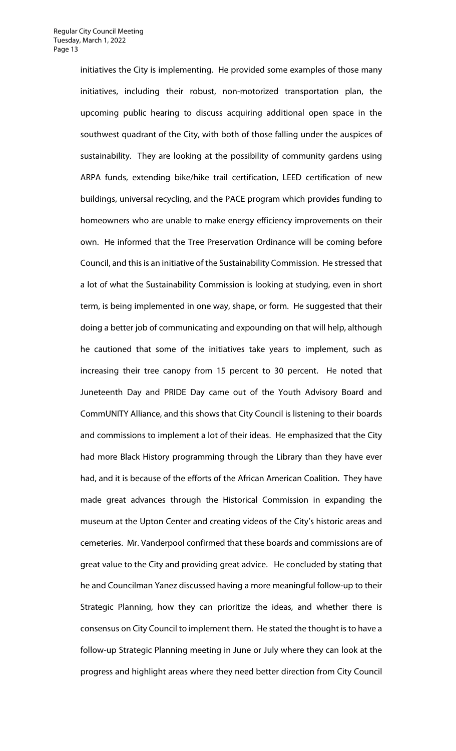initiatives the City is implementing. He provided some examples of those many initiatives, including their robust, non-motorized transportation plan, the upcoming public hearing to discuss acquiring additional open space in the southwest quadrant of the City, with both of those falling under the auspices of sustainability. They are looking at the possibility of community gardens using ARPA funds, extending bike/hike trail certification, LEED certification of new buildings, universal recycling, and the PACE program which provides funding to homeowners who are unable to make energy efficiency improvements on their own. He informed that the Tree Preservation Ordinance will be coming before Council, and this is an initiative of the Sustainability Commission. He stressed that a lot of what the Sustainability Commission is looking at studying, even in short term, is being implemented in one way, shape, or form. He suggested that their doing a better job of communicating and expounding on that will help, although he cautioned that some of the initiatives take years to implement, such as increasing their tree canopy from 15 percent to 30 percent. He noted that Juneteenth Day and PRIDE Day came out of the Youth Advisory Board and CommUNITY Alliance, and this shows that City Council is listening to their boards and commissions to implement a lot of their ideas. He emphasized that the City had more Black History programming through the Library than they have ever had, and it is because of the efforts of the African American Coalition. They have made great advances through the Historical Commission in expanding the museum at the Upton Center and creating videos of the City's historic areas and cemeteries. Mr. Vanderpool confirmed that these boards and commissions are of great value to the City and providing great advice. He concluded by stating that he and Councilman Yanez discussed having a more meaningful follow-up to their Strategic Planning, how they can prioritize the ideas, and whether there is consensus on City Council to implement them. He stated the thought is to have a follow-up Strategic Planning meeting in June or July where they can look at the progress and highlight areas where they need better direction from City Council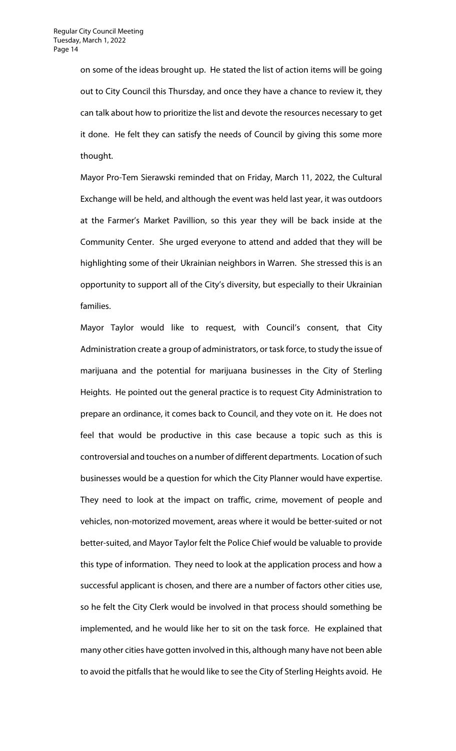on some of the ideas brought up. He stated the list of action items will be going out to City Council this Thursday, and once they have a chance to review it, they can talk about how to prioritize the list and devote the resources necessary to get it done. He felt they can satisfy the needs of Council by giving this some more thought.

Mayor Pro-Tem Sierawski reminded that on Friday, March 11, 2022, the Cultural Exchange will be held, and although the event was held last year, it was outdoors at the Farmer's Market Pavillion, so this year they will be back inside at the Community Center. She urged everyone to attend and added that they will be highlighting some of their Ukrainian neighbors in Warren. She stressed this is an opportunity to support all of the City's diversity, but especially to their Ukrainian families.

Mayor Taylor would like to request, with Council's consent, that City Administration create a group of administrators, or task force, to study the issue of marijuana and the potential for marijuana businesses in the City of Sterling Heights. He pointed out the general practice is to request City Administration to prepare an ordinance, it comes back to Council, and they vote on it. He does not feel that would be productive in this case because a topic such as this is controversial and touches on a number of different departments. Location of such businesses would be a question for which the City Planner would have expertise. They need to look at the impact on traffic, crime, movement of people and vehicles, non-motorized movement, areas where it would be better-suited or not better-suited, and Mayor Taylor felt the Police Chief would be valuable to provide this type of information. They need to look at the application process and how a successful applicant is chosen, and there are a number of factors other cities use, so he felt the City Clerk would be involved in that process should something be implemented, and he would like her to sit on the task force. He explained that many other cities have gotten involved in this, although many have not been able to avoid the pitfalls that he would like to see the City of Sterling Heights avoid. He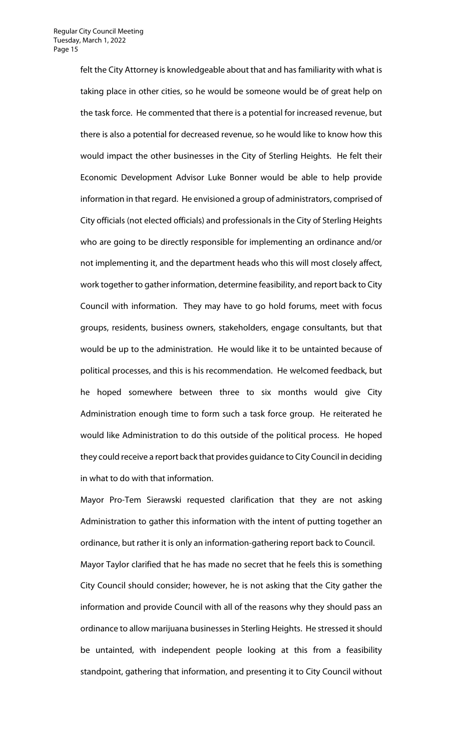felt the City Attorney is knowledgeable about that and has familiarity with what is taking place in other cities, so he would be someone would be of great help on the task force. He commented that there is a potential for increased revenue, but there is also a potential for decreased revenue, so he would like to know how this would impact the other businesses in the City of Sterling Heights. He felt their Economic Development Advisor Luke Bonner would be able to help provide information in that regard. He envisioned a group of administrators, comprised of City officials (not elected officials) and professionals in the City of Sterling Heights who are going to be directly responsible for implementing an ordinance and/or not implementing it, and the department heads who this will most closely affect, work together to gather information, determine feasibility, and report back to City Council with information. They may have to go hold forums, meet with focus groups, residents, business owners, stakeholders, engage consultants, but that would be up to the administration. He would like it to be untainted because of political processes, and this is his recommendation. He welcomed feedback, but he hoped somewhere between three to six months would give City Administration enough time to form such a task force group. He reiterated he would like Administration to do this outside of the political process. He hoped they could receive a report back that provides guidance to City Council in deciding in what to do with that information.

Mayor Pro-Tem Sierawski requested clarification that they are not asking Administration to gather this information with the intent of putting together an ordinance, but rather it is only an information-gathering report back to Council. Mayor Taylor clarified that he has made no secret that he feels this is something City Council should consider; however, he is not asking that the City gather the information and provide Council with all of the reasons why they should pass an ordinance to allow marijuana businesses in Sterling Heights. He stressed it should be untainted, with independent people looking at this from a feasibility standpoint, gathering that information, and presenting it to City Council without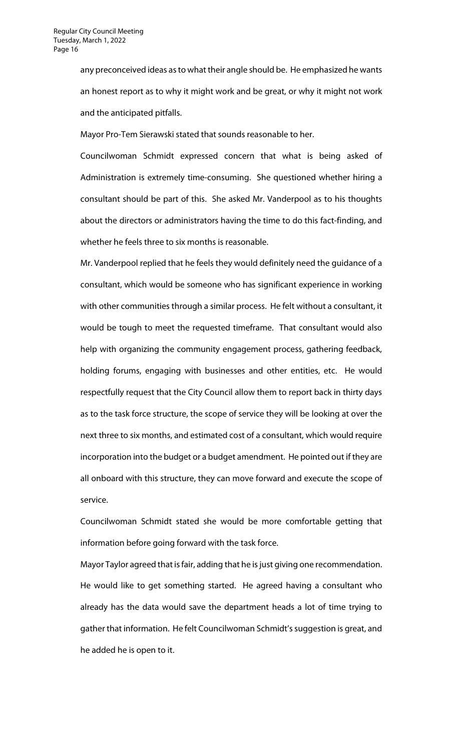any preconceived ideas as to what their angle should be. He emphasized he wants an honest report as to why it might work and be great, or why it might not work and the anticipated pitfalls.

Mayor Pro-Tem Sierawski stated that sounds reasonable to her.

Councilwoman Schmidt expressed concern that what is being asked of Administration is extremely time-consuming. She questioned whether hiring a consultant should be part of this. She asked Mr. Vanderpool as to his thoughts about the directors or administrators having the time to do this fact-finding, and whether he feels three to six months is reasonable.

Mr. Vanderpool replied that he feels they would definitely need the guidance of a consultant, which would be someone who has significant experience in working with other communities through a similar process. He felt without a consultant, it would be tough to meet the requested timeframe. That consultant would also help with organizing the community engagement process, gathering feedback, holding forums, engaging with businesses and other entities, etc. He would respectfully request that the City Council allow them to report back in thirty days as to the task force structure, the scope of service they will be looking at over the next three to six months, and estimated cost of a consultant, which would require incorporation into the budget or a budget amendment. He pointed out if they are all onboard with this structure, they can move forward and execute the scope of service.

Councilwoman Schmidt stated she would be more comfortable getting that information before going forward with the task force.

Mayor Taylor agreed that is fair, adding that he is just giving one recommendation. He would like to get something started. He agreed having a consultant who already has the data would save the department heads a lot of time trying to gather that information. He felt Councilwoman Schmidt's suggestion is great, and he added he is open to it.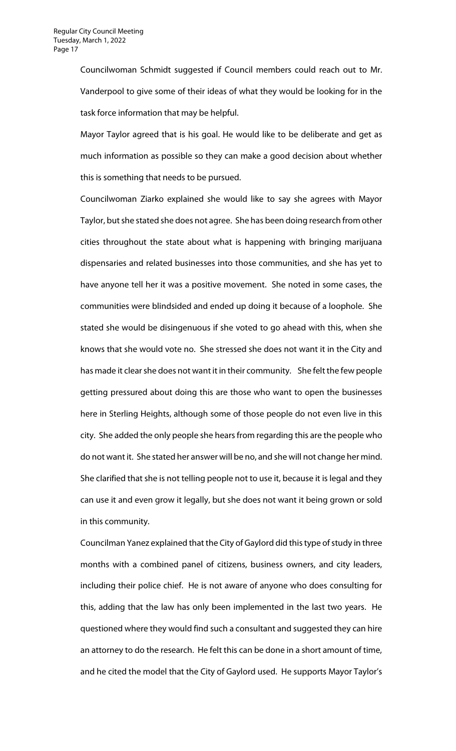Councilwoman Schmidt suggested if Council members could reach out to Mr. Vanderpool to give some of their ideas of what they would be looking for in the task force information that may be helpful.

Mayor Taylor agreed that is his goal. He would like to be deliberate and get as much information as possible so they can make a good decision about whether this is something that needs to be pursued.

Councilwoman Ziarko explained she would like to say she agrees with Mayor Taylor, but she stated she does not agree. She has been doing research from other cities throughout the state about what is happening with bringing marijuana dispensaries and related businesses into those communities, and she has yet to have anyone tell her it was a positive movement. She noted in some cases, the communities were blindsided and ended up doing it because of a loophole. She stated she would be disingenuous if she voted to go ahead with this, when she knows that she would vote no. She stressed she does not want it in the City and has made it clear she does not want it in their community. She felt the few people getting pressured about doing this are those who want to open the businesses here in Sterling Heights, although some of those people do not even live in this city. She added the only people she hears from regarding this are the people who do not want it. She stated her answer will be no, and she will not change her mind. She clarified that she is not telling people not to use it, because it is legal and they can use it and even grow it legally, but she does not want it being grown or sold in this community.

Councilman Yanez explained that the City of Gaylord did this type of study in three months with a combined panel of citizens, business owners, and city leaders, including their police chief. He is not aware of anyone who does consulting for this, adding that the law has only been implemented in the last two years. He questioned where they would find such a consultant and suggested they can hire an attorney to do the research. He felt this can be done in a short amount of time, and he cited the model that the City of Gaylord used. He supports Mayor Taylor's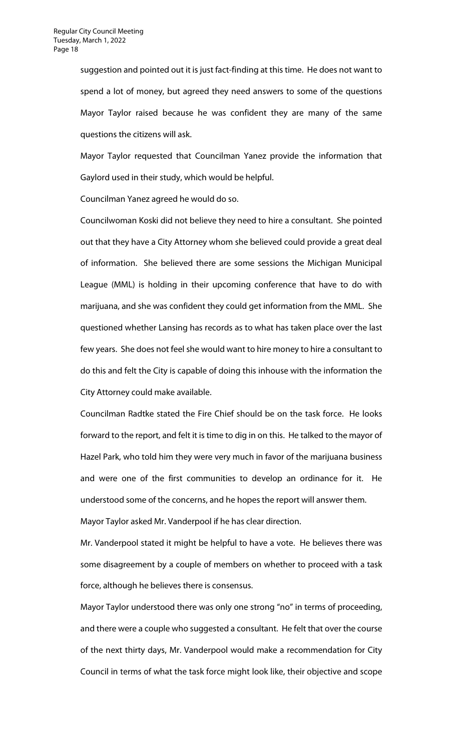suggestion and pointed out it is just fact-finding at this time. He does not want to spend a lot of money, but agreed they need answers to some of the questions Mayor Taylor raised because he was confident they are many of the same questions the citizens will ask.

Mayor Taylor requested that Councilman Yanez provide the information that Gaylord used in their study, which would be helpful.

Councilman Yanez agreed he would do so.

Councilwoman Koski did not believe they need to hire a consultant. She pointed out that they have a City Attorney whom she believed could provide a great deal of information. She believed there are some sessions the Michigan Municipal League (MML) is holding in their upcoming conference that have to do with marijuana, and she was confident they could get information from the MML. She questioned whether Lansing has records as to what has taken place over the last few years. She does not feel she would want to hire money to hire a consultant to do this and felt the City is capable of doing this inhouse with the information the City Attorney could make available.

Councilman Radtke stated the Fire Chief should be on the task force. He looks forward to the report, and felt it is time to dig in on this. He talked to the mayor of Hazel Park, who told him they were very much in favor of the marijuana business and were one of the first communities to develop an ordinance for it. He understood some of the concerns, and he hopes the report will answer them. Mayor Taylor asked Mr. Vanderpool if he has clear direction.

Mr. Vanderpool stated it might be helpful to have a vote. He believes there was some disagreement by a couple of members on whether to proceed with a task force, although he believes there is consensus.

Mayor Taylor understood there was only one strong "no" in terms of proceeding, and there were a couple who suggested a consultant. He felt that over the course of the next thirty days, Mr. Vanderpool would make a recommendation for City Council in terms of what the task force might look like, their objective and scope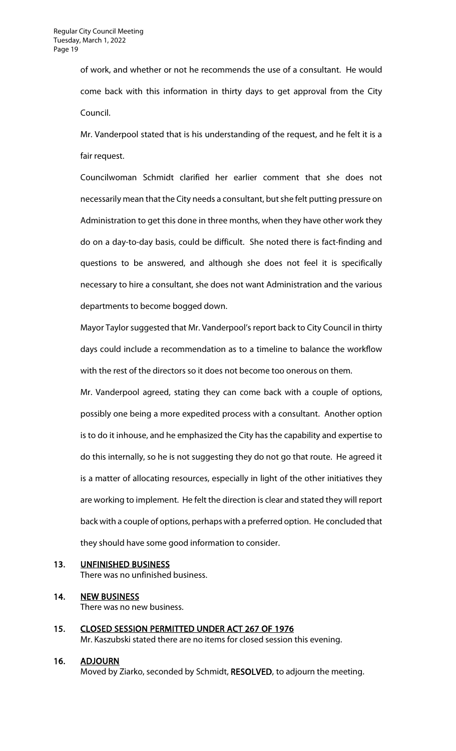of work, and whether or not he recommends the use of a consultant. He would come back with this information in thirty days to get approval from the City Council.

Mr. Vanderpool stated that is his understanding of the request, and he felt it is a fair request.

Councilwoman Schmidt clarified her earlier comment that she does not necessarily mean that the City needs a consultant, but she felt putting pressure on Administration to get this done in three months, when they have other work they do on a day-to-day basis, could be difficult. She noted there is fact-finding and questions to be answered, and although she does not feel it is specifically necessary to hire a consultant, she does not want Administration and the various departments to become bogged down.

Mayor Taylor suggested that Mr. Vanderpool's report back to City Council in thirty days could include a recommendation as to a timeline to balance the workflow with the rest of the directors so it does not become too onerous on them.

Mr. Vanderpool agreed, stating they can come back with a couple of options, possibly one being a more expedited process with a consultant. Another option is to do it inhouse, and he emphasized the City has the capability and expertise to do this internally, so he is not suggesting they do not go that route. He agreed it is a matter of allocating resources, especially in light of the other initiatives they are working to implement. He felt the direction is clear and stated they will report back with a couple of options, perhaps with a preferred option. He concluded that they should have some good information to consider.

## 13. UNFINISHED BUSINESS

There was no unfinished business.

# 14. NEW BUSINESS

There was no new business.

15. CLOSED SESSION PERMITTED UNDER ACT 267 OF 1976 Mr. Kaszubski stated there are no items for closed session this evening.

## 16. ADJOURN

Moved by Ziarko, seconded by Schmidt, RESOLVED, to adjourn the meeting.